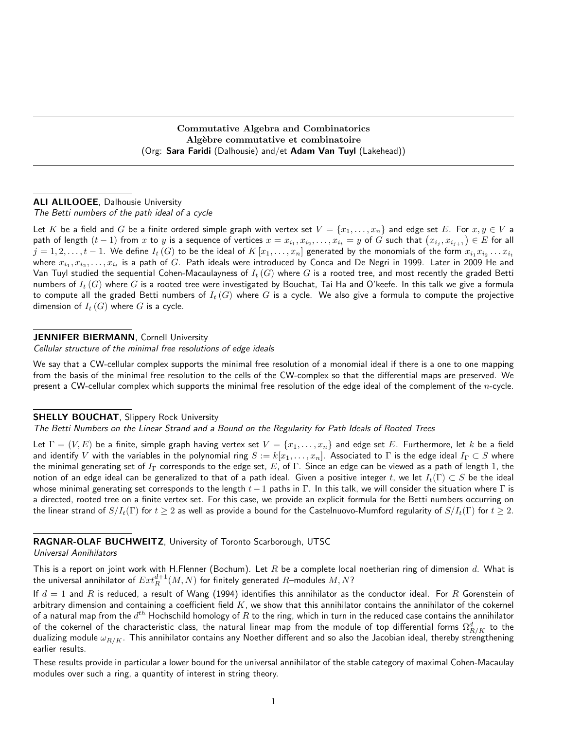Commutative Algebra and Combinatorics Algèbre commutative et combinatoire (Org: Sara Faridi (Dalhousie) and/et Adam Van Tuyl (Lakehead))

# ALI ALILOOEE, Dalhousie University

The Betti numbers of the path ideal of a cycle

Let K be a field and G be a finite ordered simple graph with vertex set  $V = \{x_1, \ldots, x_n\}$  and edge set E. For  $x, y \in V$  a path of length  $(t-1)$  from  $x$  to  $y$  is a sequence of vertices  $x=x_{i_1},x_{i_2},\ldots,x_{i_t}=y$  of  $G$  such that  $\big(x_{i_j},x_{i_{j+1}}\big)\in E$  for all  $j=1,2,\ldots,t-1.$  We define  $I_t\left(G\right)$  to be the ideal of  $K\left[x_1,\ldots,x_n\right]$  generated by the monomials of the form  $x_{i_1}x_{i_2}\ldots x_{i_t}$ where  $x_{i_1},x_{i_2},\ldots,x_{i_t}$  is a path of  $G$ . Path ideals were introduced by Conca and De Negri in 1999. Later in 2009 He and Van Tuyl studied the sequential Cohen-Macaulayness of  $I_t(G)$  where  $G$  is a rooted tree, and most recently the graded Betti numbers of  $I_t(G)$  where G is a rooted tree were investigated by Bouchat, Tai Ha and O'keefe. In this talk we give a formula to compute all the graded Betti numbers of  $I_t(G)$  where G is a cycle. We also give a formula to compute the projective dimension of  $I_t(G)$  where G is a cycle.

#### JENNIFER BIERMANN, Cornell University

Cellular structure of the minimal free resolutions of edge ideals

We say that a CW-cellular complex supports the minimal free resolution of a monomial ideal if there is a one to one mapping from the basis of the minimal free resolution to the cells of the CW-complex so that the differential maps are preserved. We present a CW-cellular complex which supports the minimal free resolution of the edge ideal of the complement of the  $n$ -cycle.

#### **SHELLY BOUCHAT, Slippery Rock University**

The Betti Numbers on the Linear Strand and a Bound on the Regularity for Path Ideals of Rooted Trees

Let  $\Gamma = (V, E)$  be a finite, simple graph having vertex set  $V = \{x_1, \ldots, x_n\}$  and edge set E. Furthermore, let k be a field and identify V with the variables in the polynomial ring  $S := k[x_1, \ldots, x_n]$ . Associated to  $\Gamma$  is the edge ideal  $I_{\Gamma} \subset S$  where the minimal generating set of  $I_\Gamma$  corresponds to the edge set, E, of  $\Gamma$ . Since an edge can be viewed as a path of length 1, the notion of an edge ideal can be generalized to that of a path ideal. Given a positive integer t, we let  $I_t(\Gamma) \subset S$  be the ideal whose minimal generating set corresponds to the length  $t - 1$  paths in Γ. In this talk, we will consider the situation where Γ is a directed, rooted tree on a finite vertex set. For this case, we provide an explicit formula for the Betti numbers occurring on the linear strand of  $S/I_t(\Gamma)$  for  $t \geq 2$  as well as provide a bound for the Castelnuovo-Mumford regularity of  $S/I_t(\Gamma)$  for  $t \geq 2$ .

RAGNAR-OLAF BUCHWEITZ, University of Toronto Scarborough, UTSC

#### Universal Annihilators

This is a report on joint work with H.Flenner (Bochum). Let  $R$  be a complete local noetherian ring of dimension  $d$ . What is the universal annihilator of  $Ext^{d+1}_R(M,N)$  for finitely generated  $R-$ modules  $M,N$ ?

If  $d=1$  and  $R$  is reduced, a result of Wang (1994) identifies this annihilator as the conductor ideal. For  $R$  Gorenstein of arbitrary dimension and containing a coefficient field  $K$ , we show that this annihilator contains the annihilator of the cokernel of a natural map from the  $d^{th}$  Hochschild homology of  $R$  to the ring, which in turn in the reduced case contains the annihilator of the cokernel of the characteristic class, the natural linear map from the module of top differential forms  $\Omega^d_{R/K}$  to the dualizing module  $\omega_{R/K}$ . This annihilator contains any Noether different and so also the Jacobian ideal, thereby strengthening earlier results.

These results provide in particular a lower bound for the universal annihilator of the stable category of maximal Cohen-Macaulay modules over such a ring, a quantity of interest in string theory.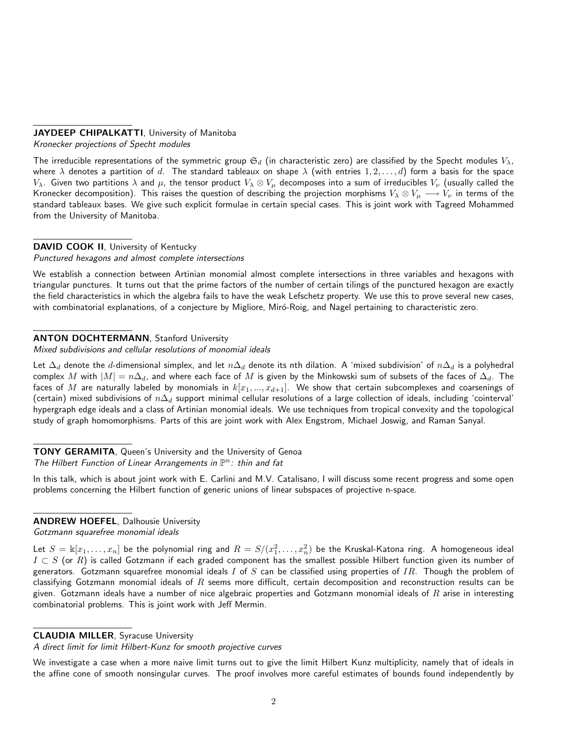# JAYDEEP CHIPALKATTI, University of Manitoba

Kronecker projections of Specht modules

The irreducible representations of the symmetric group  $\mathfrak{S}_d$  (in characteristic zero) are classified by the Specht modules  $V_\lambda$ , where  $\lambda$  denotes a partition of d. The standard tableaux on shape  $\lambda$  (with entries  $1, 2, \ldots, d$ ) form a basis for the space  $V_\lambda$ . Given two partitions  $\lambda$  and  $\mu$ , the tensor product  $V_\lambda \otimes V_\mu$  decomposes into a sum of irreducibles  $V_\nu$  (usually called the Kronecker decomposition). This raises the question of describing the projection morphisms  $V_\lambda \otimes V_\mu \longrightarrow V_\nu$  in terms of the standard tableaux bases. We give such explicit formulae in certain special cases. This is joint work with Tagreed Mohammed from the University of Manitoba.

### DAVID COOK II, University of Kentucky

Punctured hexagons and almost complete intersections

We establish a connection between Artinian monomial almost complete intersections in three variables and hexagons with triangular punctures. It turns out that the prime factors of the number of certain tilings of the punctured hexagon are exactly the field characteristics in which the algebra fails to have the weak Lefschetz property. We use this to prove several new cases, with combinatorial explanations, of a conjecture by Migliore, Miró-Roig, and Nagel pertaining to characteristic zero.

### **ANTON DOCHTERMANN, Stanford University**

Mixed subdivisions and cellular resolutions of monomial ideals

Let  $\Delta_d$  denote the d-dimensional simplex, and let  $n\Delta_d$  denote its nth dilation. A 'mixed subdivision' of  $n\Delta_d$  is a polyhedral complex M with  $|M| = n\Delta_d$ , and where each face of M is given by the Minkowski sum of subsets of the faces of  $\Delta_d$ . The faces of M are naturally labeled by monomials in  $k[x_1,...,x_{d+1}]$ . We show that certain subcomplexes and coarsenings of (certain) mixed subdivisions of  $n\Delta_d$  support minimal cellular resolutions of a large collection of ideals, including 'cointerval' hypergraph edge ideals and a class of Artinian monomial ideals. We use techniques from tropical convexity and the topological study of graph homomorphisms. Parts of this are joint work with Alex Engstrom, Michael Joswig, and Raman Sanyal.

# TONY GERAMITA, Queen's University and the University of Genoa

The Hilbert Function of Linear Arrangements in  $\mathbb{P}^n$ : thin and fat

In this talk, which is about joint work with E. Carlini and M.V. Catalisano, I will discuss some recent progress and some open problems concerning the Hilbert function of generic unions of linear subspaces of projective n-space.

# ANDREW HOEFEL, Dalhousie University

Gotzmann squarefree monomial ideals

Let  $S=\Bbbk[x_1,\ldots,x_n]$  be the polynomial ring and  $R=S/(x_1^2,\ldots,x_n^2)$  be the Kruskal-Katona ring. A homogeneous ideal  $I \subset S$  (or R) is called Gotzmann if each graded component has the smallest possible Hilbert function given its number of generators. Gotzmann squarefree monomial ideals I of S can be classified using properties of IR. Though the problem of classifying Gotzmann monomial ideals of  $R$  seems more difficult, certain decomposition and reconstruction results can be given. Gotzmann ideals have a number of nice algebraic properties and Gotzmann monomial ideals of  $R$  arise in interesting combinatorial problems. This is joint work with Jeff Mermin.

#### CLAUDIA MILLER, Syracuse University

A direct limit for limit Hilbert-Kunz for smooth projective curves

We investigate a case when a more naive limit turns out to give the limit Hilbert Kunz multiplicity, namely that of ideals in the affine cone of smooth nonsingular curves. The proof involves more careful estimates of bounds found independently by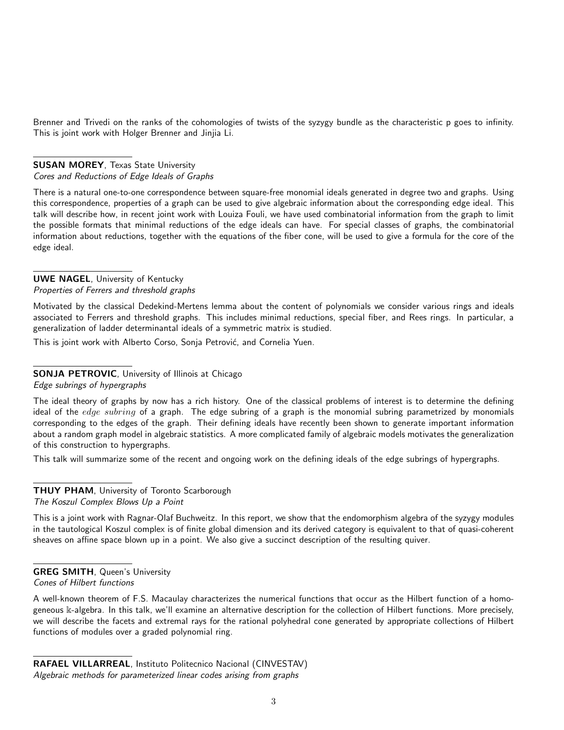Brenner and Trivedi on the ranks of the cohomologies of twists of the syzygy bundle as the characteristic p goes to infinity. This is joint work with Holger Brenner and Jinjia Li.

# **SUSAN MOREY, Texas State University**

Cores and Reductions of Edge Ideals of Graphs

There is a natural one-to-one correspondence between square-free monomial ideals generated in degree two and graphs. Using this correspondence, properties of a graph can be used to give algebraic information about the corresponding edge ideal. This talk will describe how, in recent joint work with Louiza Fouli, we have used combinatorial information from the graph to limit the possible formats that minimal reductions of the edge ideals can have. For special classes of graphs, the combinatorial information about reductions, together with the equations of the fiber cone, will be used to give a formula for the core of the edge ideal.

## UWE NAGEL, University of Kentucky Properties of Ferrers and threshold graphs

Motivated by the classical Dedekind-Mertens lemma about the content of polynomials we consider various rings and ideals associated to Ferrers and threshold graphs. This includes minimal reductions, special fiber, and Rees rings. In particular, a generalization of ladder determinantal ideals of a symmetric matrix is studied.

This is joint work with Alberto Corso, Sonja Petrović, and Cornelia Yuen.

# SONJA PETROVIC, University of Illinois at Chicago

Edge subrings of hypergraphs

The ideal theory of graphs by now has a rich history. One of the classical problems of interest is to determine the defining ideal of the edge subring of a graph. The edge subring of a graph is the monomial subring parametrized by monomials corresponding to the edges of the graph. Their defining ideals have recently been shown to generate important information about a random graph model in algebraic statistics. A more complicated family of algebraic models motivates the generalization of this construction to hypergraphs.

This talk will summarize some of the recent and ongoing work on the defining ideals of the edge subrings of hypergraphs.

#### **THUY PHAM**, University of Toronto Scarborough The Koszul Complex Blows Up a Point

This is a joint work with Ragnar-Olaf Buchweitz. In this report, we show that the endomorphism algebra of the syzygy modules in the tautological Koszul complex is of finite global dimension and its derived category is equivalent to that of quasi-coherent sheaves on affine space blown up in a point. We also give a succinct description of the resulting quiver.

# GREG SMITH, Queen's University

Cones of Hilbert functions

A well-known theorem of F.S. Macaulay characterizes the numerical functions that occur as the Hilbert function of a homogeneous k-algebra. In this talk, we'll examine an alternative description for the collection of Hilbert functions. More precisely, we will describe the facets and extremal rays for the rational polyhedral cone generated by appropriate collections of Hilbert functions of modules over a graded polynomial ring.

RAFAEL VILLARREAL, Instituto Politecnico Nacional (CINVESTAV) Algebraic methods for parameterized linear codes arising from graphs